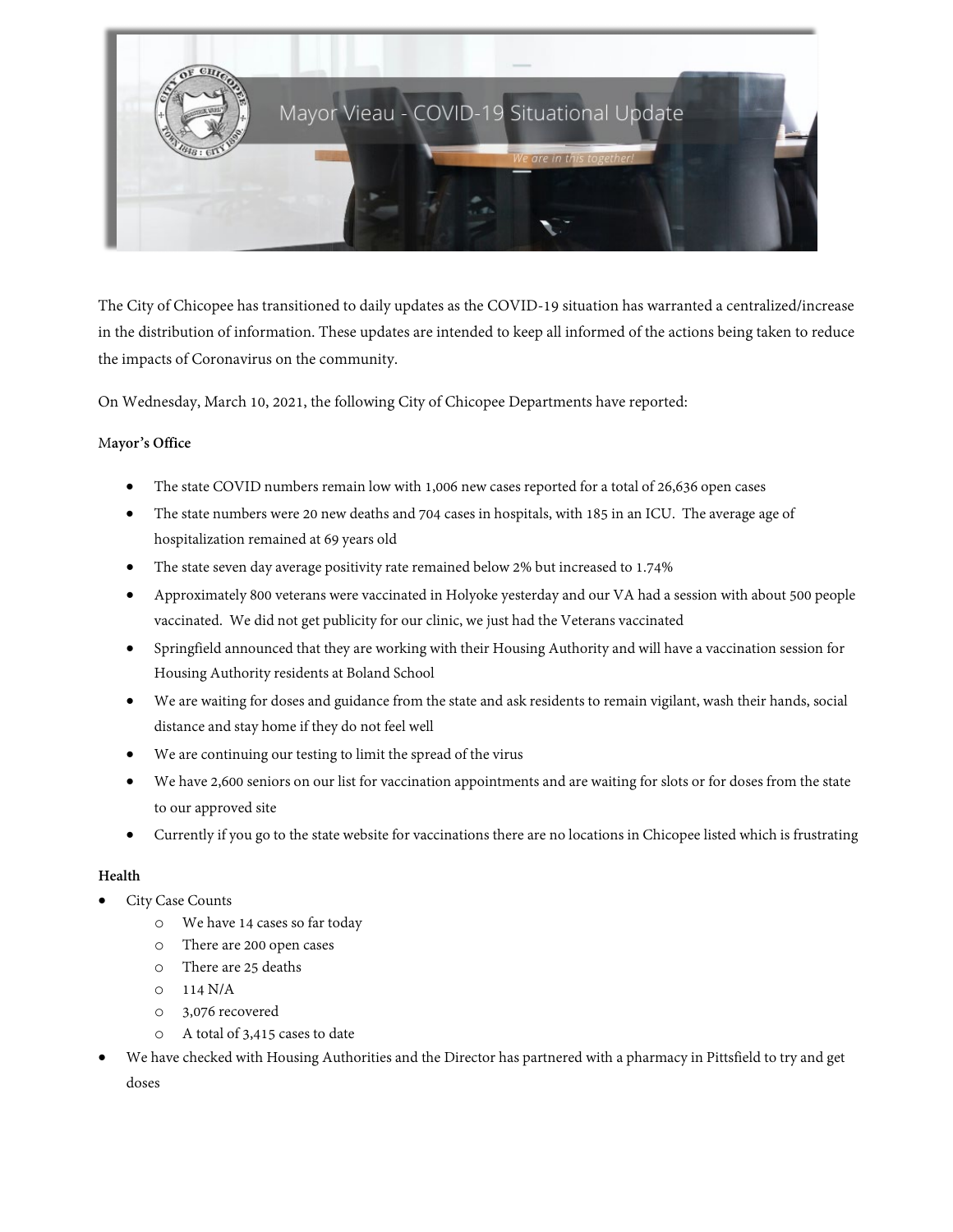

The City of Chicopee has transitioned to daily updates as the COVID-19 situation has warranted a centralized/increase in the distribution of information. These updates are intended to keep all informed of the actions being taken to reduce the impacts of Coronavirus on the community.

On Wednesday, March 10, 2021, the following City of Chicopee Departments have reported:

#### M**ayor's Office**

- The state COVID numbers remain low with 1,006 new cases reported for a total of 26,636 open cases
- The state numbers were 20 new deaths and 704 cases in hospitals, with 185 in an ICU. The average age of hospitalization remained at 69 years old
- The state seven day average positivity rate remained below 2% but increased to 1.74%
- Approximately 800 veterans were vaccinated in Holyoke yesterday and our VA had a session with about 500 people vaccinated. We did not get publicity for our clinic, we just had the Veterans vaccinated
- Springfield announced that they are working with their Housing Authority and will have a vaccination session for Housing Authority residents at Boland School
- We are waiting for doses and guidance from the state and ask residents to remain vigilant, wash their hands, social distance and stay home if they do not feel well
- We are continuing our testing to limit the spread of the virus
- We have 2,600 seniors on our list for vaccination appointments and are waiting for slots or for doses from the state to our approved site
- Currently if you go to the state website for vaccinations there are no locations in Chicopee listed which is frustrating

#### **Health**

## • City Case Counts

- o We have 14 cases so far today
- o There are 200 open cases
- o There are 25 deaths
- o 114 N/A
- o 3,076 recovered
- o A total of 3,415 cases to date
- We have checked with Housing Authorities and the Director has partnered with a pharmacy in Pittsfield to try and get doses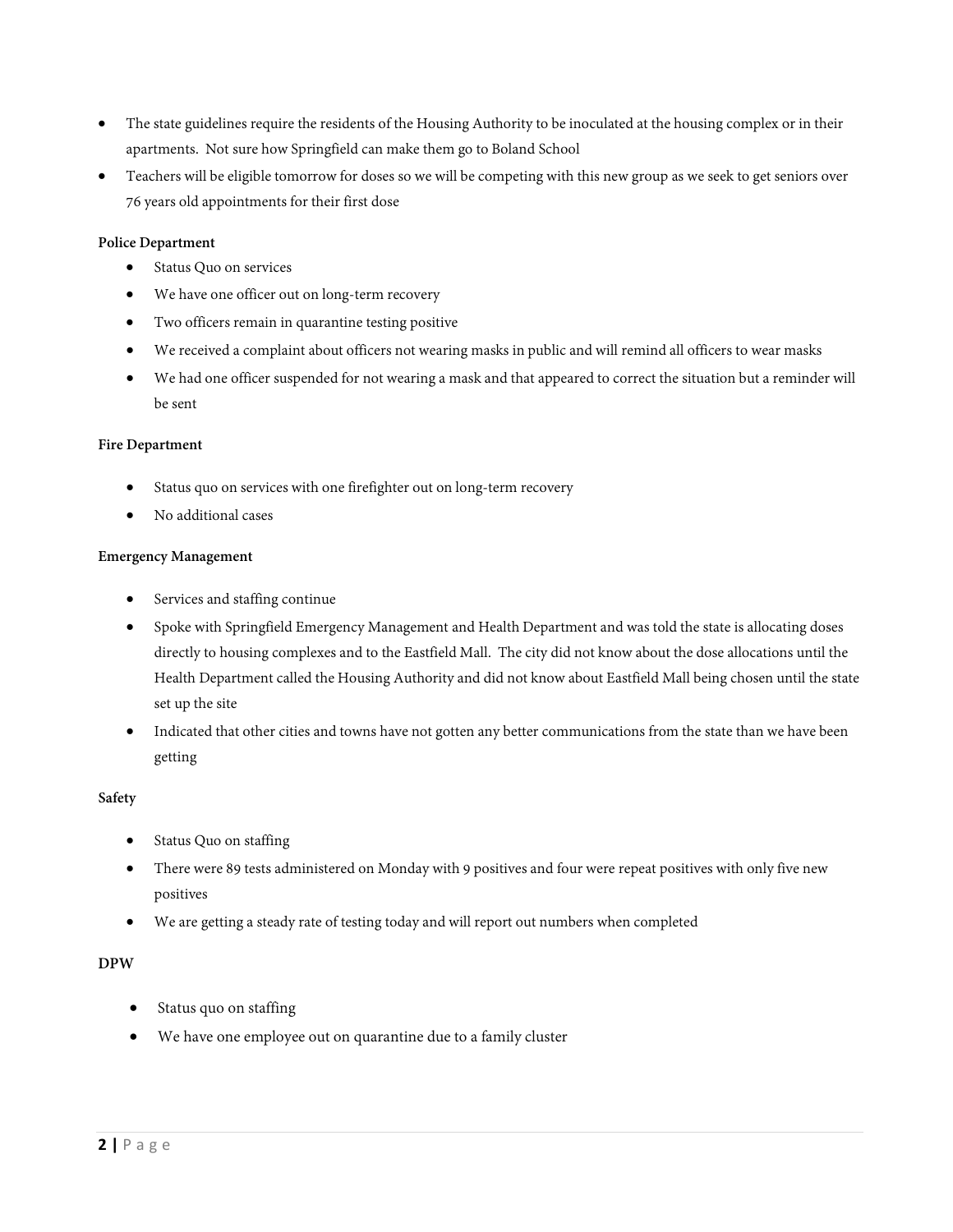- The state guidelines require the residents of the Housing Authority to be inoculated at the housing complex or in their apartments. Not sure how Springfield can make them go to Boland School
- Teachers will be eligible tomorrow for doses so we will be competing with this new group as we seek to get seniors over 76 years old appointments for their first dose

#### **Police Department**

- Status Quo on services
- We have one officer out on long-term recovery
- Two officers remain in quarantine testing positive
- We received a complaint about officers not wearing masks in public and will remind all officers to wear masks
- We had one officer suspended for not wearing a mask and that appeared to correct the situation but a reminder will be sent

#### **Fire Department**

- Status quo on services with one firefighter out on long-term recovery
- No additional cases

#### **Emergency Management**

- Services and staffing continue
- Spoke with Springfield Emergency Management and Health Department and was told the state is allocating doses directly to housing complexes and to the Eastfield Mall. The city did not know about the dose allocations until the Health Department called the Housing Authority and did not know about Eastfield Mall being chosen until the state set up the site
- Indicated that other cities and towns have not gotten any better communications from the state than we have been getting

#### **Safety**

- Status Quo on staffing
- There were 89 tests administered on Monday with 9 positives and four were repeat positives with only five new positives
- We are getting a steady rate of testing today and will report out numbers when completed

#### **DPW**

- Status quo on staffing
- We have one employee out on quarantine due to a family cluster